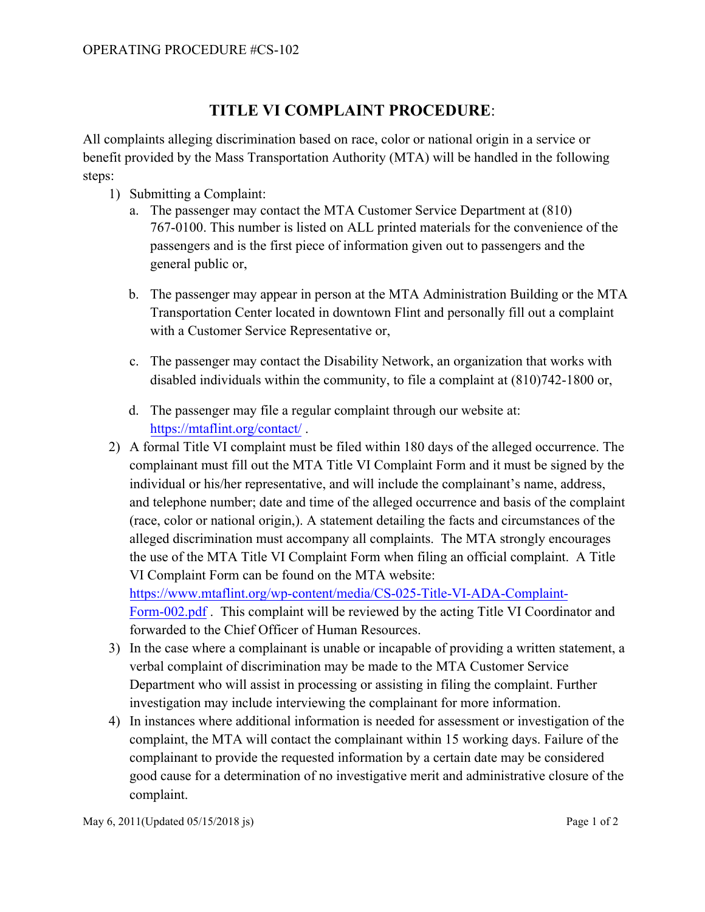## **TITLE VI COMPLAINT PROCEDURE**:

All complaints alleging discrimination based on race, color or national origin in a service or benefit provided by the Mass Transportation Authority (MTA) will be handled in the following steps:

- 1) Submitting a Complaint:
	- a. The passenger may contact the MTA Customer Service Department at (810) 767-0100. This number is listed on ALL printed materials for the convenience of the passengers and is the first piece of information given out to passengers and the general public or,
	- b. The passenger may appear in person at the MTA Administration Building or the MTA Transportation Center located in downtown Flint and personally fill out a complaint with a Customer Service Representative or,
	- c. The passenger may contact the Disability Network, an organization that works with disabled individuals within the community, to file a complaint at (810)742-1800 or,
	- d. The passenger may file a regular complaint through our website at: [https://mtaflint.org/contact/](https://www.mtaflint.org/contact/) .
- 2) A formal Title VI complaint must be filed within 180 days of the alleged occurrence. The complainant must fill out the MTA Title VI Complaint Form and it must be signed by the individual or his/her representative, and will include the complainant's name, address, and telephone number; date and time of the alleged occurrence and basis of the complaint (race, color or national origin,). A statement detailing the facts and circumstances of the alleged discrimination must accompany all complaints. The MTA strongly encourages the use of the MTA Title VI Complaint Form when filing an official complaint. A Title VI Complaint Form can be found on the MTA website: [https://www.mtaflint.org/wp-content/media/CS-025-Title-VI-ADA-Complaint-](https://www.mtaflint.org/wp-content/media/CS-025-Title-VI-ADA-Complaint-Form-002.pdf)Form-002.pdf . This complaint will be reviewed by the acting Title VI Coordinator and

forwarded to the Chief Officer of Human Resources.

- 3) In the case where a complainant is unable or incapable of providing a written statement, a verbal complaint of discrimination may be made to the MTA Customer Service Department who will assist in processing or assisting in filing the complaint. Further investigation may include interviewing the complainant for more information.
- 4) In instances where additional information is needed for assessment or investigation of the complaint, the MTA will contact the complainant within 15 working days. Failure of the complainant to provide the requested information by a certain date may be considered good cause for a determination of no investigative merit and administrative closure of the complaint.